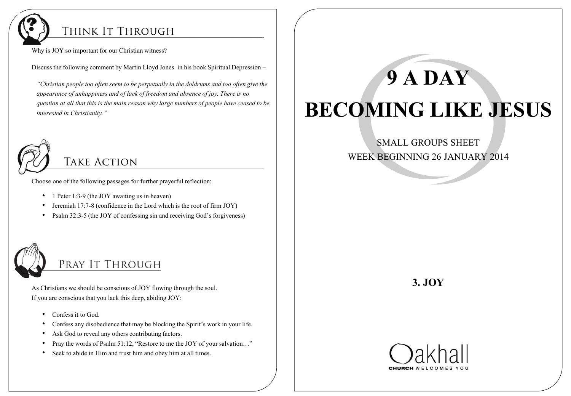

#### THINK IT THROUGH

Why is JOY so important for our Christian witness?

Discuss the following comment by Martin Lloyd Jones in his book Spiritual Depression –

 *"Christian people too often seem to be perpetually in the doldrums and too often give the appearance of unhappiness and of lack of freedom and absence of joy. There is no question at all that this is the main reason why large numbers of people have ceased to be interested in Christianity."*



**TAKE ACTION** 

Choose one of the following passages for further prayerful reflection:

- 1 Peter 1:3-9 (the JOY awaiting us in heaven)
- Jeremiah 17:7-8 (confidence in the Lord which is the root of firm JOY)
- Psalm 32:3-5 (the JOY of confessing sin and receiving God's forgiveness)



# PRAY IT THROUGH

As Christians we should be conscious of JOY flowing through the soul. If you are conscious that you lack this deep, abiding JOY:

- Confess it to God.
- Confess any disobedience that may be blocking the Spirit's work in your life.
- Ask God to reveal any others contributing factors.
- Pray the words of Psalm 51:12, "Restore to me the JOY of your salvation..."
- Seek to abide in Him and trust him and obey him at all times.

# **9 A DAY BECOMING LIKE JESUS**

#### SMALL GROUPS SHEET WEEK BEGINNING 26 JANUARY 2014

### **3. JOY**